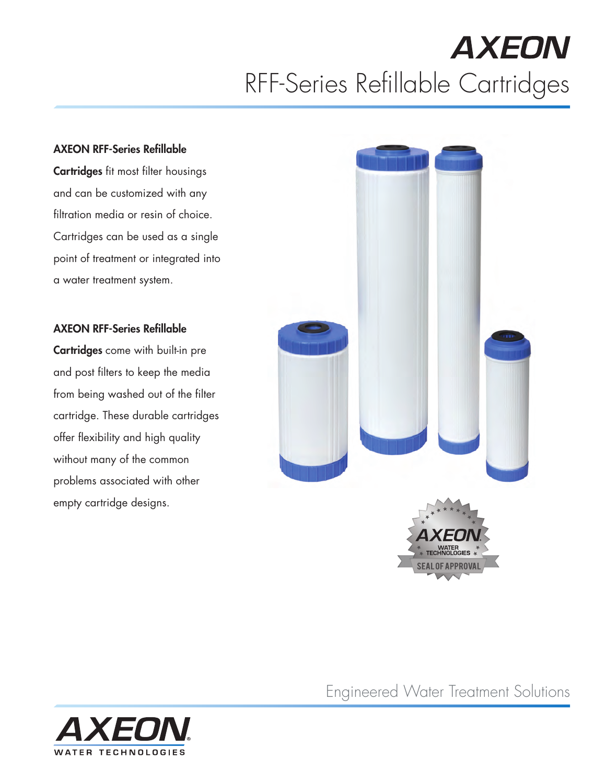# *AXEON*

### RFF-Series Refillable Cartridges

#### **AXEON RFF-Series Refillable**

**Cartridges** fit most filter housings and can be customized with any filtration media or resin of choice. Cartridges can be used as a single point of treatment or integrated into a water treatment system.

#### **AXEON RFF-Series Refillable**

**Cartridges** come with built-in pre and post filters to keep the media from being washed out of the filter cartridge. These durable cartridges offer flexibility and high quality without many of the common problems associated with other empty cartridge designs.





Engineered Water Treatment Solutions